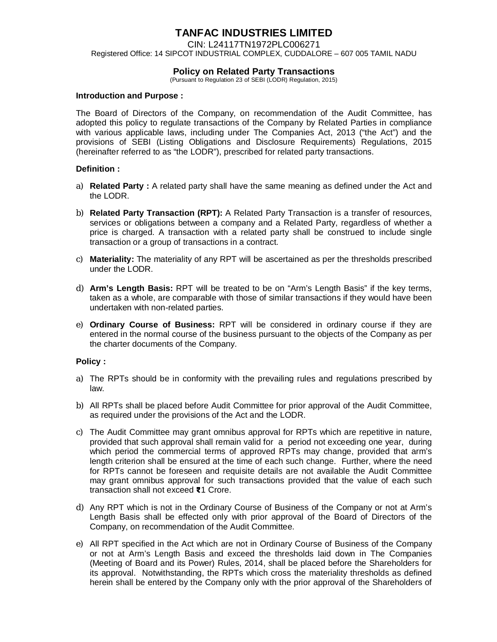# **TANFAC INDUSTRIES LIMITED**

CIN: L24117TN1972PLC006271 Registered Office: 14 SIPCOT INDUSTRIAL COMPLEX, CUDDALORE – 607 005 TAMIL NADU

## **Policy on Related Party Transactions**

(Pursuant to Regulation 23 of SEBI (LODR) Regulation, 2015)

#### **Introduction and Purpose :**

The Board of Directors of the Company, on recommendation of the Audit Committee, has adopted this policy to regulate transactions of the Company by Related Parties in compliance with various applicable laws, including under The Companies Act, 2013 ("the Act") and the provisions of SEBI (Listing Obligations and Disclosure Requirements) Regulations, 2015 (hereinafter referred to as "the LODR"), prescribed for related party transactions.

## **Definition :**

- a) **Related Party**: A related party shall have the same meaning as defined under the Act and the LODR.
- b) **Related Party Transaction (RPT):** A Related Party Transaction is a transfer of resources, services or obligations between a company and a Related Party, regardless of whether a price is charged. A transaction with a related party shall be construed to include single transaction or a group of transactions in a contract.
- c) **Materiality:** The materiality of any RPT will be ascertained as per the thresholds prescribed under the LODR.
- d) **Arm's Length Basis:** RPT will be treated to be on "Arm's Length Basis" if the key terms, taken as a whole, are comparable with those of similar transactions if they would have been undertaken with non-related parties.
- e) **Ordinary Course of Business:** RPT will be considered in ordinary course if they are entered in the normal course of the business pursuant to the objects of the Company as per the charter documents of the Company.

## **Policy :**

- a) The RPTs should be in conformity with the prevailing rules and regulations prescribed by law.
- b) All RPTs shall be placed before Audit Committee for prior approval of the Audit Committee, as required under the provisions of the Act and the LODR.
- c) The Audit Committee may grant omnibus approval for RPTs which are repetitive in nature, provided that such approval shall remain valid for a period not exceeding one year, during which period the commercial terms of approved RPTs may change, provided that arm's length criterion shall be ensured at the time of each such change. Further, where the need for RPTs cannot be foreseen and requisite details are not available the Audit Committee may grant omnibus approval for such transactions provided that the value of each such transaction shall not exceed <1 Crore.
- d) Any RPT which is not in the Ordinary Course of Business of the Company or not at Arm's Length Basis shall be effected only with prior approval of the Board of Directors of the Company, on recommendation of the Audit Committee.
- e) All RPT specified in the Act which are not in Ordinary Course of Business of the Company or not at Arm's Length Basis and exceed the thresholds laid down in The Companies (Meeting of Board and its Power) Rules, 2014, shall be placed before the Shareholders for its approval. Notwithstanding, the RPTs which cross the materiality thresholds as defined herein shall be entered by the Company only with the prior approval of the Shareholders of